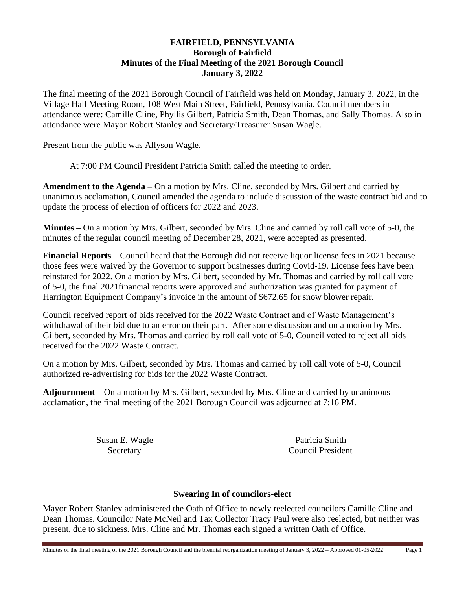## **FAIRFIELD, PENNSYLVANIA Borough of Fairfield Minutes of the Final Meeting of the 2021 Borough Council January 3, 2022**

The final meeting of the 2021 Borough Council of Fairfield was held on Monday, January 3, 2022, in the Village Hall Meeting Room, 108 West Main Street, Fairfield, Pennsylvania. Council members in attendance were: Camille Cline, Phyllis Gilbert, Patricia Smith, Dean Thomas, and Sally Thomas. Also in attendance were Mayor Robert Stanley and Secretary/Treasurer Susan Wagle.

Present from the public was Allyson Wagle.

At 7:00 PM Council President Patricia Smith called the meeting to order.

**Amendment to the Agenda –** On a motion by Mrs. Cline, seconded by Mrs. Gilbert and carried by unanimous acclamation, Council amended the agenda to include discussion of the waste contract bid and to update the process of election of officers for 2022 and 2023.

**Minutes –** On a motion by Mrs. Gilbert, seconded by Mrs. Cline and carried by roll call vote of 5-0, the minutes of the regular council meeting of December 28, 2021, were accepted as presented.

**Financial Reports** – Council heard that the Borough did not receive liquor license fees in 2021 because those fees were waived by the Governor to support businesses during Covid-19. License fees have been reinstated for 2022. On a motion by Mrs. Gilbert, seconded by Mr. Thomas and carried by roll call vote of 5-0, the final 2021financial reports were approved and authorization was granted for payment of Harrington Equipment Company's invoice in the amount of \$672.65 for snow blower repair.

Council received report of bids received for the 2022 Waste Contract and of Waste Management's withdrawal of their bid due to an error on their part. After some discussion and on a motion by Mrs. Gilbert, seconded by Mrs. Thomas and carried by roll call vote of 5-0, Council voted to reject all bids received for the 2022 Waste Contract.

On a motion by Mrs. Gilbert, seconded by Mrs. Thomas and carried by roll call vote of 5-0, Council authorized re-advertising for bids for the 2022 Waste Contract.

**Adjournment** – On a motion by Mrs. Gilbert, seconded by Mrs. Cline and carried by unanimous acclamation, the final meeting of the 2021 Borough Council was adjourned at 7:16 PM.

Susan E. Wagle Patricia Smith

Secretary Council President

## **Swearing In of councilors-elect**

\_\_\_\_\_\_\_\_\_\_\_\_\_\_\_\_\_\_\_\_\_\_\_\_\_\_\_ \_\_\_\_\_\_\_\_\_\_\_\_\_\_\_\_\_\_\_\_\_\_\_\_\_\_\_\_\_\_

Mayor Robert Stanley administered the Oath of Office to newly reelected councilors Camille Cline and Dean Thomas. Councilor Nate McNeil and Tax Collector Tracy Paul were also reelected, but neither was present, due to sickness. Mrs. Cline and Mr. Thomas each signed a written Oath of Office.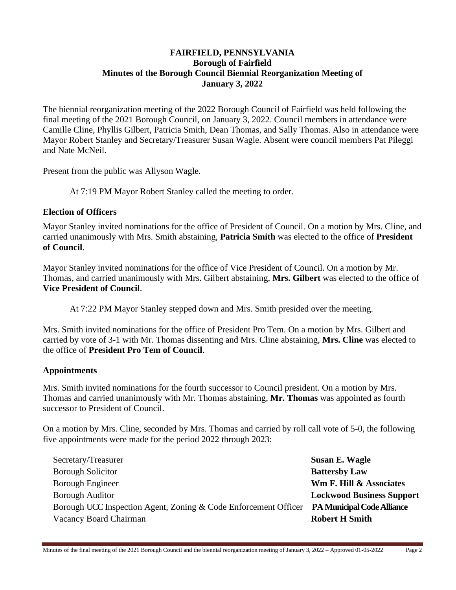## **FAIRFIELD, PENNSYLVANIA Borough of Fairfield Minutes of the Borough Council Biennial Reorganization Meeting of January 3, 2022**

The biennial reorganization meeting of the 2022 Borough Council of Fairfield was held following the final meeting of the 2021 Borough Council, on January 3, 2022. Council members in attendance were Camille Cline, Phyllis Gilbert, Patricia Smith, Dean Thomas, and Sally Thomas. Also in attendance were Mayor Robert Stanley and Secretary/Treasurer Susan Wagle. Absent were council members Pat Pileggi and Nate McNeil.

Present from the public was Allyson Wagle.

At 7:19 PM Mayor Robert Stanley called the meeting to order.

#### **Election of Officers**

Mayor Stanley invited nominations for the office of President of Council. On a motion by Mrs. Cline, and carried unanimously with Mrs. Smith abstaining, **Patricia Smith** was elected to the office of **President of Council**.

Mayor Stanley invited nominations for the office of Vice President of Council. On a motion by Mr. Thomas, and carried unanimously with Mrs. Gilbert abstaining, **Mrs. Gilbert** was elected to the office of **Vice President of Council**.

At 7:22 PM Mayor Stanley stepped down and Mrs. Smith presided over the meeting.

Mrs. Smith invited nominations for the office of President Pro Tem. On a motion by Mrs. Gilbert and carried by vote of 3-1 with Mr. Thomas dissenting and Mrs. Cline abstaining, **Mrs. Cline** was elected to the office of **President Pro Tem of Council**.

## **Appointments**

Mrs. Smith invited nominations for the fourth successor to Council president. On a motion by Mrs. Thomas and carried unanimously with Mr. Thomas abstaining, **Mr. Thomas** was appointed as fourth successor to President of Council.

On a motion by Mrs. Cline, seconded by Mrs. Thomas and carried by roll call vote of 5-0, the following five appointments were made for the period 2022 through 2023:

| Secretary/Treasurer                                             | Susan E. Wagle                     |
|-----------------------------------------------------------------|------------------------------------|
| <b>Borough Solicitor</b>                                        | <b>Battersby Law</b>               |
| <b>Borough Engineer</b>                                         | <b>Wm F. Hill &amp; Associates</b> |
| <b>Borough Auditor</b>                                          | <b>Lockwood Business Support</b>   |
| Borough UCC Inspection Agent, Zoning & Code Enforcement Officer | <b>PA Municipal Code Alliance</b>  |
| Vacancy Board Chairman                                          | <b>Robert H Smith</b>              |